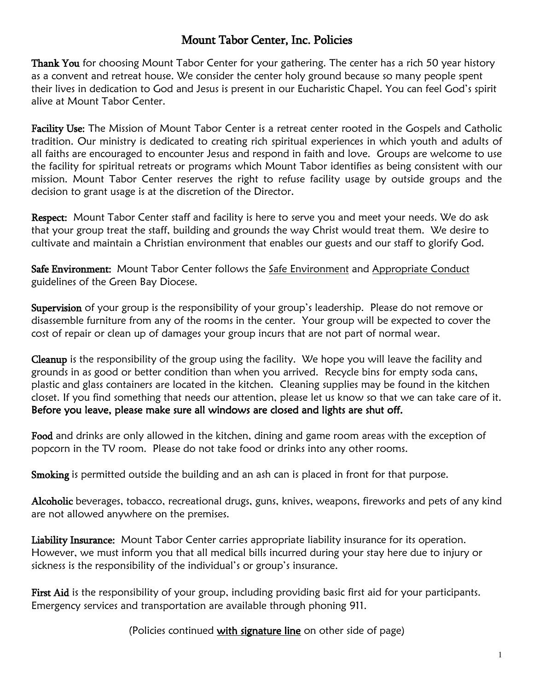## Mount Tabor Center, Inc. Policies

Thank You for choosing Mount Tabor Center for your gathering. The center has a rich 50 year history as a convent and retreat house. We consider the center holy ground because so many people spent their lives in dedication to God and Jesus is present in our Eucharistic Chapel. You can feel God's spirit alive at Mount Tabor Center.

Facility Use: The Mission of Mount Tabor Center is a retreat center rooted in the Gospels and Catholic tradition. Our ministry is dedicated to creating rich spiritual experiences in which youth and adults of all faiths are encouraged to encounter Jesus and respond in faith and love. Groups are welcome to use the facility for spiritual retreats or programs which Mount Tabor identifies as being consistent with our mission. Mount Tabor Center reserves the right to refuse facility usage by outside groups and the decision to grant usage is at the discretion of the Director.

Respect: Mount Tabor Center staff and facility is here to serve you and meet your needs. We do ask that your group treat the staff, building and grounds the way Christ would treat them. We desire to cultivate and maintain a Christian environment that enables our guests and our staff to glorify God.

Safe Environment: Mount Tabor Center follows the [Safe Environment](http://www.gbdioc.org/pg/dioceseGuidelinesSafeEnvironment.tpl) and Appropriate Conduct guidelines of the Green Bay Diocese.

Supervision of your group is the responsibility of your group's leadership. Please do not remove or disassemble furniture from any of the rooms in the center. Your group will be expected to cover the cost of repair or clean up of damages your group incurs that are not part of normal wear.

Cleanup is the responsibility of the group using the facility. We hope you will leave the facility and grounds in as good or better condition than when you arrived. Recycle bins for empty soda cans, plastic and glass containers are located in the kitchen. Cleaning supplies may be found in the kitchen closet. If you find something that needs our attention, please let us know so that we can take care of it. Before you leave, please make sure all windows are closed and lights are shut off.

Food and drinks are only allowed in the kitchen, dining and game room areas with the exception of popcorn in the TV room. Please do not take food or drinks into any other rooms.

Smoking is permitted outside the building and an ash can is placed in front for that purpose.

Alcoholic beverages, tobacco, recreational drugs, guns, knives, weapons, fireworks and pets of any kind are not allowed anywhere on the premises.

Liability Insurance: Mount Tabor Center carries appropriate liability insurance for its operation. However, we must inform you that all medical bills incurred during your stay here due to injury or sickness is the responsibility of the individual's or group's insurance.

First Aid is the responsibility of your group, including providing basic first aid for your participants. Emergency services and transportation are available through phoning 911.

(Policies continued with signature line on other side of page)